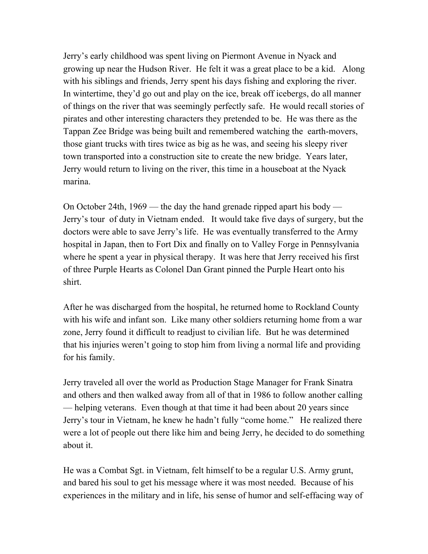Jerry's early childhood was spent living on Piermont Avenue in Nyack and growing up near the Hudson River. He felt it was a great place to be a kid. Along with his siblings and friends, Jerry spent his days fishing and exploring the river. In wintertime, they'd go out and play on the ice, break off icebergs, do all manner of things on the river that was seemingly perfectly safe. He would recall stories of pirates and other interesting characters they pretended to be. He was there as the Tappan Zee Bridge was being built and remembered watching the earth-movers, those giant trucks with tires twice as big as he was, and seeing his sleepy river town transported into a construction site to create the new bridge. Years later, Jerry would return to living on the river, this time in a houseboat at the Nyack marina.

On October 24th, 1969 — the day the hand grenade ripped apart his body — Jerry's tour of duty in Vietnam ended. It would take five days of surgery, but the doctors were able to save Jerry's life. He was eventually transferred to the Army hospital in Japan, then to Fort Dix and finally on to Valley Forge in Pennsylvania where he spent a year in physical therapy. It was here that Jerry received his first of three Purple Hearts as Colonel Dan Grant pinned the Purple Heart onto his shirt.

After he was discharged from the hospital, he returned home to Rockland County with his wife and infant son. Like many other soldiers returning home from a war zone, Jerry found it difficult to readjust to civilian life. But he was determined that his injuries weren't going to stop him from living a normal life and providing for his family.

Jerry traveled all over the world as Production Stage Manager for Frank Sinatra and others and then walked away from all of that in 1986 to follow another calling — helping veterans. Even though at that time it had been about 20 years since Jerry's tour in Vietnam, he knew he hadn't fully "come home." He realized there were a lot of people out there like him and being Jerry, he decided to do something about it.

He was a Combat Sgt. in Vietnam, felt himself to be a regular U.S. Army grunt, and bared his soul to get his message where it was most needed. Because of his experiences in the military and in life, his sense of humor and self-effacing way of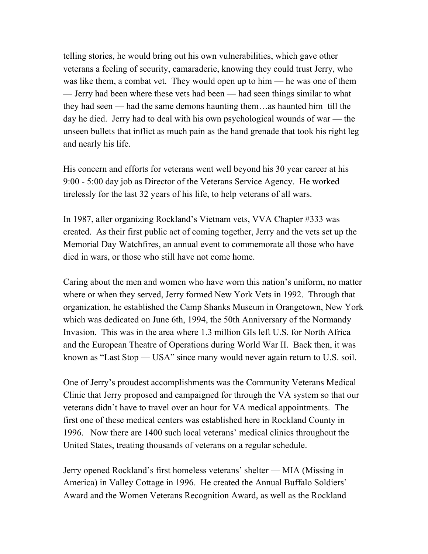telling stories, he would bring out his own vulnerabilities, which gave other veterans a feeling of security, camaraderie, knowing they could trust Jerry, who was like them, a combat vet. They would open up to him — he was one of them — Jerry had been where these vets had been — had seen things similar to what they had seen — had the same demons haunting them…as haunted him till the day he died. Jerry had to deal with his own psychological wounds of war — the unseen bullets that inflict as much pain as the hand grenade that took his right leg and nearly his life.

His concern and efforts for veterans went well beyond his 30 year career at his 9:00 - 5:00 day job as Director of the Veterans Service Agency. He worked tirelessly for the last 32 years of his life, to help veterans of all wars.

In 1987, after organizing Rockland's Vietnam vets, VVA Chapter #333 was created. As their first public act of coming together, Jerry and the vets set up the Memorial Day Watchfires, an annual event to commemorate all those who have died in wars, or those who still have not come home.

Caring about the men and women who have worn this nation's uniform, no matter where or when they served, Jerry formed New York Vets in 1992. Through that organization, he established the Camp Shanks Museum in Orangetown, New York which was dedicated on June 6th, 1994, the 50th Anniversary of the Normandy Invasion. This was in the area where 1.3 million GIs left U.S. for North Africa and the European Theatre of Operations during World War II. Back then, it was known as "Last Stop — USA" since many would never again return to U.S. soil.

One of Jerry's proudest accomplishments was the Community Veterans Medical Clinic that Jerry proposed and campaigned for through the VA system so that our veterans didn't have to travel over an hour for VA medical appointments. The first one of these medical centers was established here in Rockland County in 1996. Now there are 1400 such local veterans' medical clinics throughout the United States, treating thousands of veterans on a regular schedule.

Jerry opened Rockland's first homeless veterans' shelter — MIA (Missing in America) in Valley Cottage in 1996. He created the Annual Buffalo Soldiers' Award and the Women Veterans Recognition Award, as well as the Rockland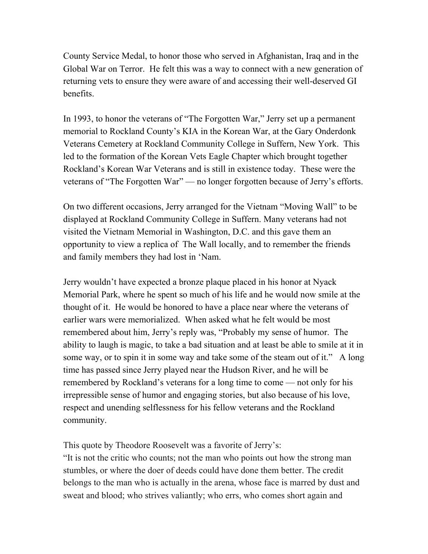County Service Medal, to honor those who served in Afghanistan, Iraq and in the Global War on Terror. He felt this was a way to connect with a new generation of returning vets to ensure they were aware of and accessing their well-deserved GI benefits.

In 1993, to honor the veterans of "The Forgotten War," Jerry set up a permanent memorial to Rockland County's KIA in the Korean War, at the Gary Onderdonk Veterans Cemetery at Rockland Community College in Suffern, New York. This led to the formation of the Korean Vets Eagle Chapter which brought together Rockland's Korean War Veterans and is still in existence today. These were the veterans of "The Forgotten War" — no longer forgotten because of Jerry's efforts.

On two different occasions, Jerry arranged for the Vietnam "Moving Wall" to be displayed at Rockland Community College in Suffern. Many veterans had not visited the Vietnam Memorial in Washington, D.C. and this gave them an opportunity to view a replica of The Wall locally, and to remember the friends and family members they had lost in 'Nam.

Jerry wouldn't have expected a bronze plaque placed in his honor at Nyack Memorial Park, where he spent so much of his life and he would now smile at the thought of it. He would be honored to have a place near where the veterans of earlier wars were memorialized. When asked what he felt would be most remembered about him, Jerry's reply was, "Probably my sense of humor. The ability to laugh is magic, to take a bad situation and at least be able to smile at it in some way, or to spin it in some way and take some of the steam out of it." A long time has passed since Jerry played near the Hudson River, and he will be remembered by Rockland's veterans for a long time to come — not only for his irrepressible sense of humor and engaging stories, but also because of his love, respect and unending selflessness for his fellow veterans and the Rockland community.

This quote by Theodore Roosevelt was a favorite of Jerry's:

"It is not the critic who counts; not the man who points out how the strong man stumbles, or where the doer of deeds could have done them better. The credit belongs to the man who is actually in the arena, whose face is marred by dust and sweat and blood; who strives valiantly; who errs, who comes short again and